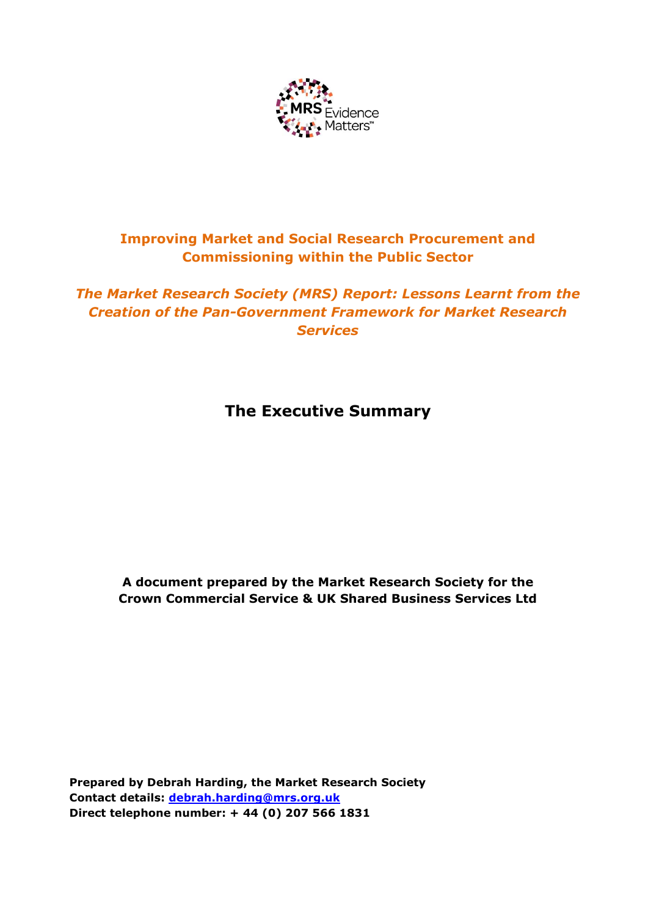

# **Improving Market and Social Research Procurement and Commissioning within the Public Sector**

# *The Market Research Society (MRS) Report: Lessons Learnt from the Creation of the Pan-Government Framework for Market Research Services*

# **The Executive Summary**

**A document prepared by the Market Research Society for the Crown Commercial Service & UK Shared Business Services Ltd**

**Prepared by Debrah Harding, the Market Research Society Contact details: [debrah.harding@mrs.org.uk](mailto:debrah.harding@mrs.org.uk) Direct telephone number: + 44 (0) 207 566 1831**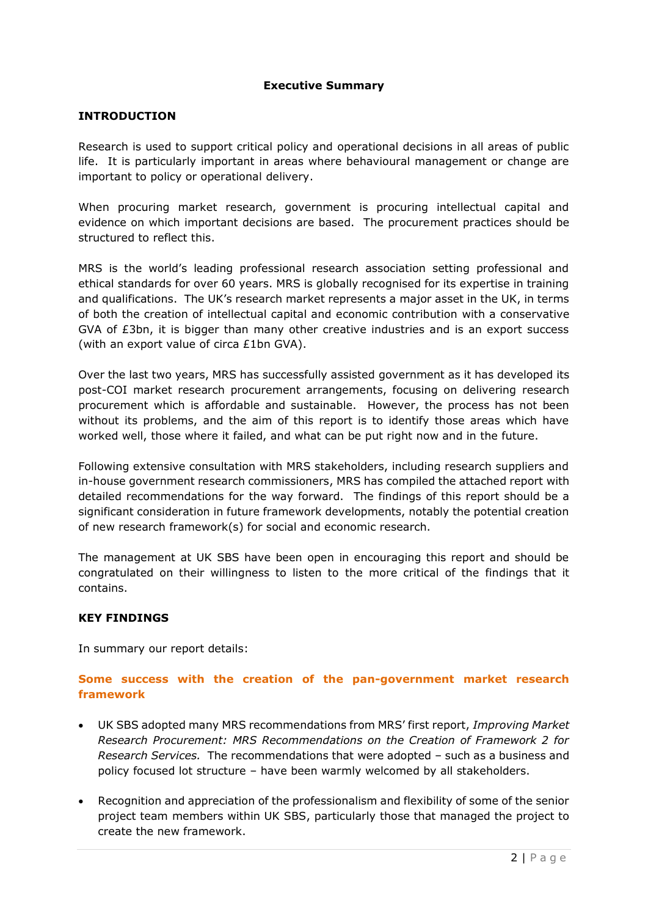#### **Executive Summary**

#### **INTRODUCTION**

Research is used to support critical policy and operational decisions in all areas of public life. It is particularly important in areas where behavioural management or change are important to policy or operational delivery.

When procuring market research, government is procuring intellectual capital and evidence on which important decisions are based. The procurement practices should be structured to reflect this.

MRS is the world's leading professional research association setting professional and ethical standards for over 60 years. MRS is globally recognised for its expertise in training and qualifications. The UK's research market represents a major asset in the UK, in terms of both the creation of intellectual capital and economic contribution with a conservative GVA of £3bn, it is bigger than many other creative industries and is an export success (with an export value of circa £1bn GVA).

Over the last two years, MRS has successfully assisted government as it has developed its post-COI market research procurement arrangements, focusing on delivering research procurement which is affordable and sustainable. However, the process has not been without its problems, and the aim of this report is to identify those areas which have worked well, those where it failed, and what can be put right now and in the future.

Following extensive consultation with MRS stakeholders, including research suppliers and in-house government research commissioners, MRS has compiled the attached report with detailed recommendations for the way forward. The findings of this report should be a significant consideration in future framework developments, notably the potential creation of new research framework(s) for social and economic research.

The management at UK SBS have been open in encouraging this report and should be congratulated on their willingness to listen to the more critical of the findings that it contains.

#### **KEY FINDINGS**

In summary our report details:

### **Some success with the creation of the pan-government market research framework**

- UK SBS adopted many MRS recommendations from MRS' first report, *Improving Market Research Procurement: MRS Recommendations on the Creation of Framework 2 for Research Services.* The recommendations that were adopted – such as a business and policy focused lot structure – have been warmly welcomed by all stakeholders.
- Recognition and appreciation of the professionalism and flexibility of some of the senior project team members within UK SBS, particularly those that managed the project to create the new framework.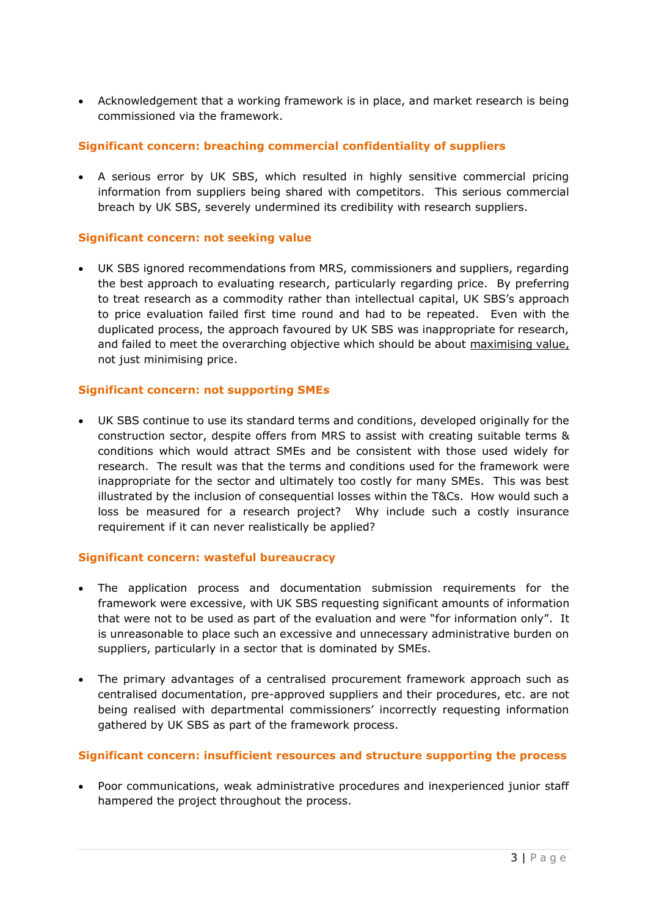Acknowledgement that a working framework is in place, and market research is being commissioned via the framework.

### **Significant concern: breaching commercial confidentiality of suppliers**

 A serious error by UK SBS, which resulted in highly sensitive commercial pricing information from suppliers being shared with competitors. This serious commercial breach by UK SBS, severely undermined its credibility with research suppliers.

#### **Significant concern: not seeking value**

 UK SBS ignored recommendations from MRS, commissioners and suppliers, regarding the best approach to evaluating research, particularly regarding price. By preferring to treat research as a commodity rather than intellectual capital, UK SBS's approach to price evaluation failed first time round and had to be repeated. Even with the duplicated process, the approach favoured by UK SBS was inappropriate for research, and failed to meet the overarching objective which should be about maximising value, not just minimising price.

#### **Significant concern: not supporting SMEs**

 UK SBS continue to use its standard terms and conditions, developed originally for the construction sector, despite offers from MRS to assist with creating suitable terms & conditions which would attract SMEs and be consistent with those used widely for research. The result was that the terms and conditions used for the framework were inappropriate for the sector and ultimately too costly for many SMEs. This was best illustrated by the inclusion of consequential losses within the T&Cs. How would such a loss be measured for a research project? Why include such a costly insurance requirement if it can never realistically be applied?

#### **Significant concern: wasteful bureaucracy**

- The application process and documentation submission requirements for the framework were excessive, with UK SBS requesting significant amounts of information that were not to be used as part of the evaluation and were "for information only". It is unreasonable to place such an excessive and unnecessary administrative burden on suppliers, particularly in a sector that is dominated by SMEs.
- The primary advantages of a centralised procurement framework approach such as centralised documentation, pre-approved suppliers and their procedures, etc. are not being realised with departmental commissioners' incorrectly requesting information gathered by UK SBS as part of the framework process.

#### **Significant concern: insufficient resources and structure supporting the process**

 Poor communications, weak administrative procedures and inexperienced junior staff hampered the project throughout the process.